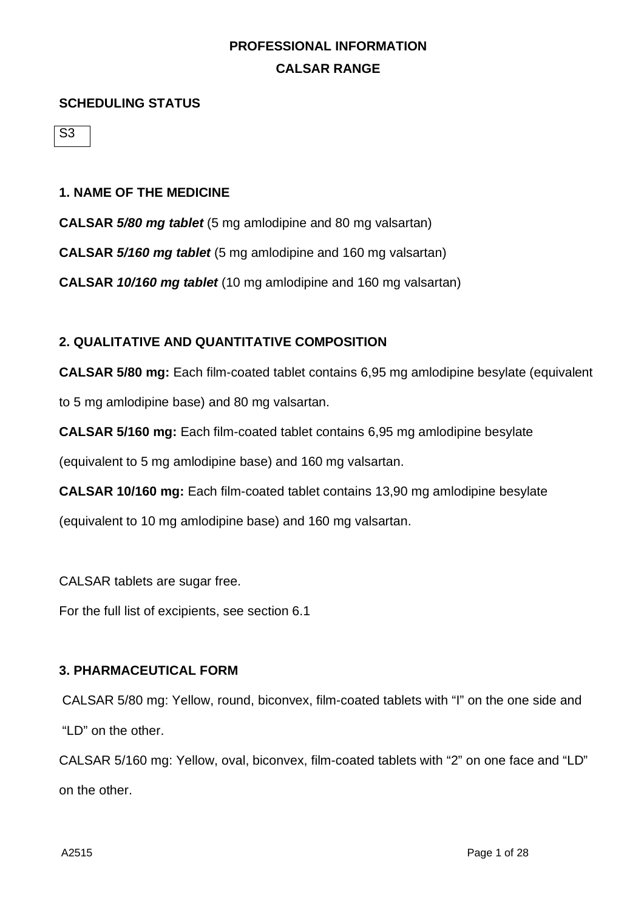#### **SCHEDULING STATUS**

S3

### **1. NAME OF THE MEDICINE**

**CALSAR** *5/80 mg tablet* (5 mg amlodipine and 80 mg valsartan)

**CALSAR** *5/160 mg tablet* (5 mg amlodipine and 160 mg valsartan)

**CALSAR** *10/160 mg tablet* (10 mg amlodipine and 160 mg valsartan)

## **2. QUALITATIVE AND QUANTITATIVE COMPOSITION**

**CALSAR 5/80 mg:** Each film-coated tablet contains 6,95 mg amlodipine besylate (equivalent

to 5 mg amlodipine base) and 80 mg valsartan.

**CALSAR 5/160 mg:** Each film-coated tablet contains 6,95 mg amlodipine besylate

(equivalent to 5 mg amlodipine base) and 160 mg valsartan.

**CALSAR 10/160 mg:** Each film-coated tablet contains 13,90 mg amlodipine besylate

(equivalent to 10 mg amlodipine base) and 160 mg valsartan.

CALSAR tablets are sugar free.

For the full list of excipients, see section 6.1

### **3. PHARMACEUTICAL FORM**

CALSAR 5/80 mg: Yellow, round, biconvex, film-coated tablets with "I" on the one side and "LD" on the other.

CALSAR 5/160 mg: Yellow, oval, biconvex, film-coated tablets with "2" on one face and "LD" on the other.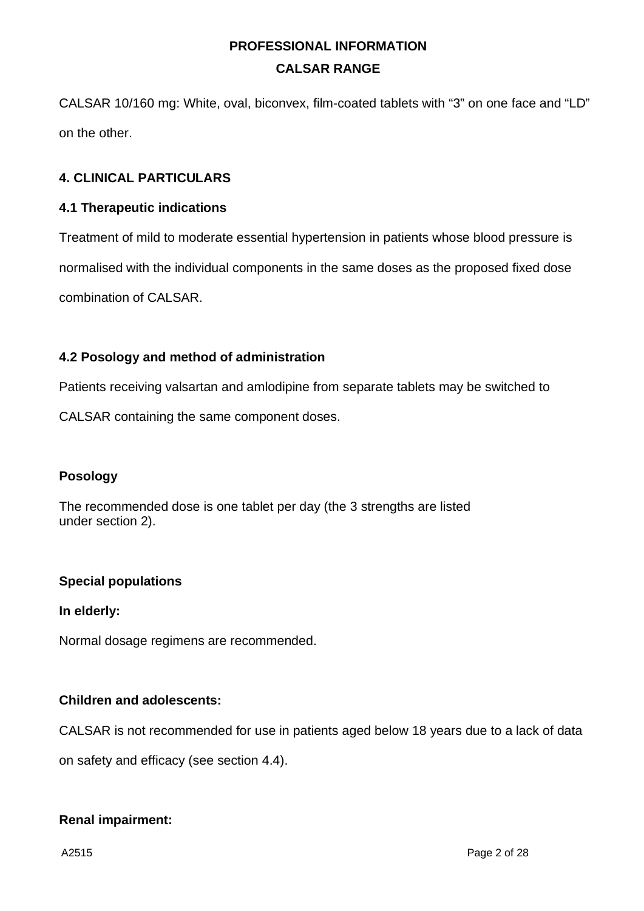CALSAR 10/160 mg: White, oval, biconvex, film-coated tablets with "3" on one face and "LD" on the other.

## **4. CLINICAL PARTICULARS**

## **4.1 Therapeutic indications**

Treatment of mild to moderate essential hypertension in patients whose blood pressure is normalised with the individual components in the same doses as the proposed fixed dose combination of CALSAR.

## **4.2 Posology and method of administration**

Patients receiving valsartan and amlodipine from separate tablets may be switched to

CALSAR containing the same component doses.

## **Posology**

The recommended dose is one tablet per day (the 3 strengths are listed under section 2).

## **Special populations**

### **In elderly:**

Normal dosage regimens are recommended.

### **Children and adolescents:**

CALSAR is not recommended for use in patients aged below 18 years due to a lack of data

on safety and efficacy (see section 4.4).

## **Renal impairment:**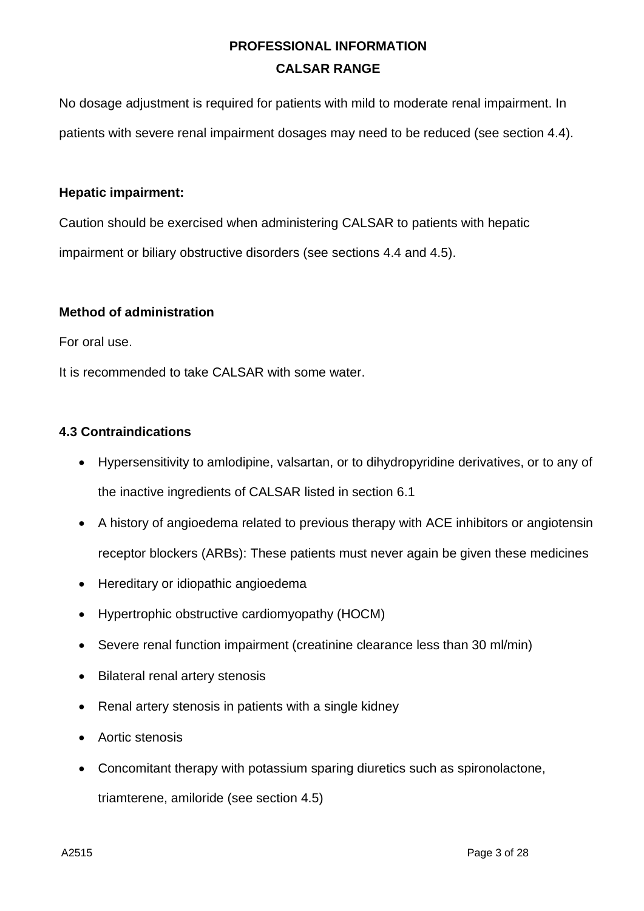No dosage adjustment is required for patients with mild to moderate renal impairment. In patients with severe renal impairment dosages may need to be reduced (see section 4.4).

### **Hepatic impairment:**

Caution should be exercised when administering CALSAR to patients with hepatic impairment or biliary obstructive disorders (see sections 4.4 and 4.5).

## **Method of administration**

For oral use.

It is recommended to take CALSAR with some water.

## **4.3 Contraindications**

- Hypersensitivity to amlodipine, valsartan, or to dihydropyridine derivatives, or to any of the inactive ingredients of CALSAR listed in section 6.1
- A history of angioedema related to previous therapy with ACE inhibitors or angiotensin receptor blockers (ARBs): These patients must never again be given these medicines
- Hereditary or idiopathic angioedema
- Hypertrophic obstructive cardiomyopathy (HOCM)
- Severe renal function impairment (creatinine clearance less than 30 ml/min)
- Bilateral renal artery stenosis
- Renal artery stenosis in patients with a single kidney
- Aortic stenosis
- Concomitant therapy with potassium sparing diuretics such as spironolactone,

triamterene, amiloride (see section 4.5)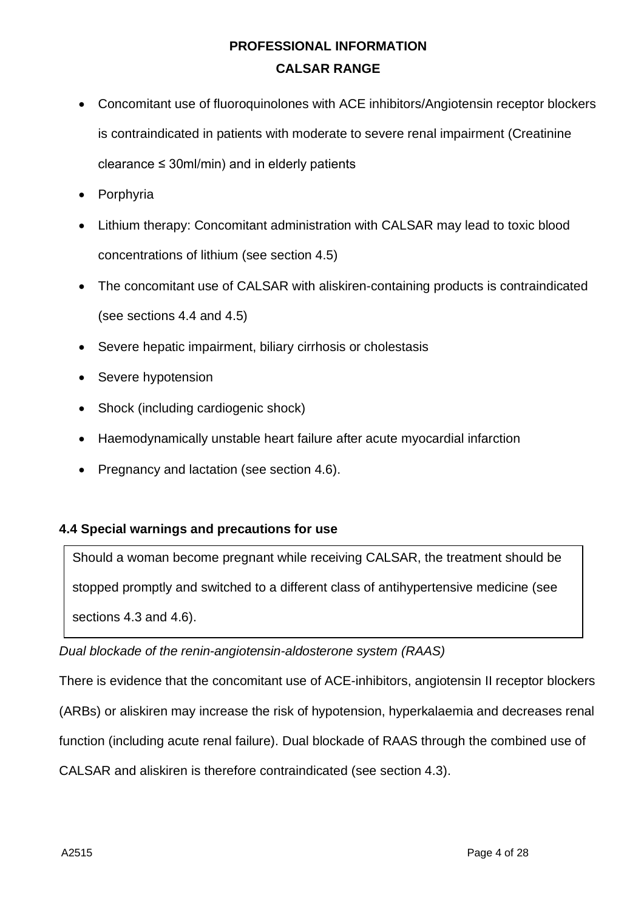- Concomitant use of fluoroquinolones with ACE inhibitors/Angiotensin receptor blockers is contraindicated in patients with moderate to severe renal impairment (Creatinine clearance ≤ 30ml/min) and in elderly patients
- Porphyria
- Lithium therapy: Concomitant administration with CALSAR may lead to toxic blood concentrations of lithium (see section 4.5)
- The concomitant use of CALSAR with aliskiren-containing products is contraindicated (see sections 4.4 and 4.5)
- Severe hepatic impairment, biliary cirrhosis or cholestasis
- Severe hypotension
- Shock (including cardiogenic shock)
- Haemodynamically unstable heart failure after acute myocardial infarction
- Pregnancy and lactation (see section 4.6).

## **4.4 Special warnings and precautions for use**

Should a woman become pregnant while receiving CALSAR, the treatment should be stopped promptly and switched to a different class of antihypertensive medicine (see sections 4.3 and 4.6).

*Dual blockade of the renin-angiotensin-aldosterone system (RAAS)*

There is evidence that the concomitant use of ACE-inhibitors, angiotensin II receptor blockers (ARBs) or aliskiren may increase the risk of hypotension, hyperkalaemia and decreases renal function (including acute renal failure). Dual blockade of RAAS through the combined use of CALSAR and aliskiren is therefore contraindicated (see section 4.3).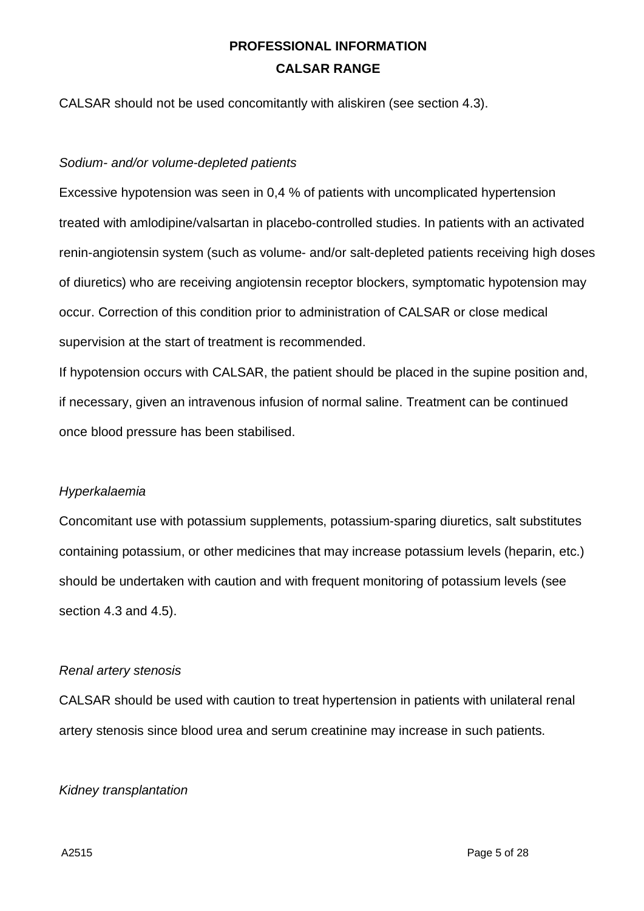CALSAR should not be used concomitantly with aliskiren (see section 4.3).

### *Sodium- and/or volume-depleted patients*

Excessive hypotension was seen in 0,4 % of patients with uncomplicated hypertension treated with amlodipine/valsartan in placebo-controlled studies. In patients with an activated renin-angiotensin system (such as volume- and/or salt-depleted patients receiving high doses of diuretics) who are receiving angiotensin receptor blockers, symptomatic hypotension may occur. Correction of this condition prior to administration of CALSAR or close medical supervision at the start of treatment is recommended.

If hypotension occurs with CALSAR, the patient should be placed in the supine position and, if necessary, given an intravenous infusion of normal saline. Treatment can be continued once blood pressure has been stabilised.

#### *Hyperkalaemia*

Concomitant use with potassium supplements, potassium-sparing diuretics, salt substitutes containing potassium, or other medicines that may increase potassium levels (heparin, etc.) should be undertaken with caution and with frequent monitoring of potassium levels (see section 4.3 and 4.5).

#### *Renal artery stenosis*

CALSAR should be used with caution to treat hypertension in patients with unilateral renal artery stenosis since blood urea and serum creatinine may increase in such patients.

#### *Kidney transplantation*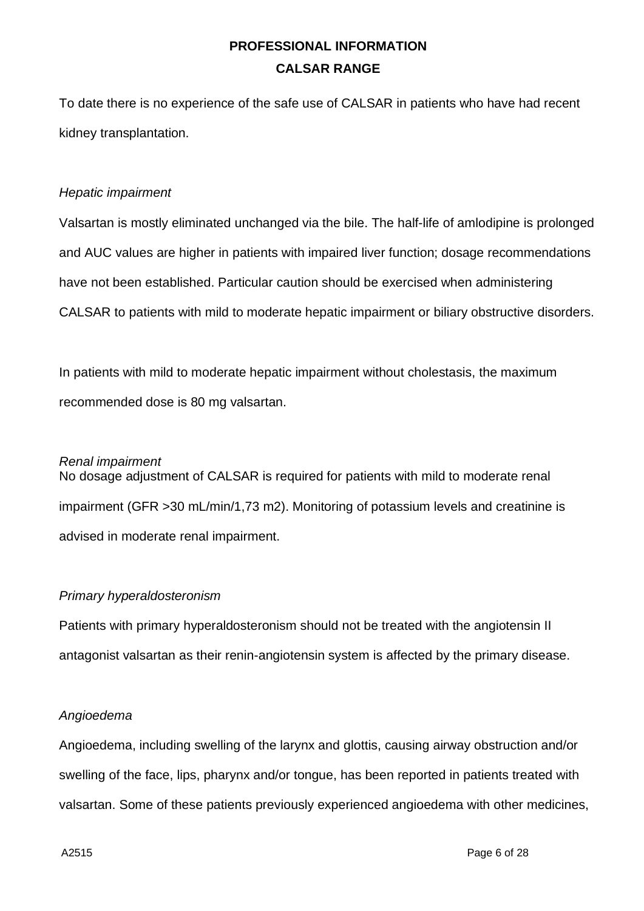To date there is no experience of the safe use of CALSAR in patients who have had recent kidney transplantation.

### *Hepatic impairment*

Valsartan is mostly eliminated unchanged via the bile. The half-life of amlodipine is prolonged and AUC values are higher in patients with impaired liver function; dosage recommendations have not been established. Particular caution should be exercised when administering CALSAR to patients with mild to moderate hepatic impairment or biliary obstructive disorders.

In patients with mild to moderate hepatic impairment without cholestasis, the maximum recommended dose is 80 mg valsartan.

#### *Renal impairment*

No dosage adjustment of CALSAR is required for patients with mild to moderate renal impairment (GFR >30 mL/min/1,73 m2). Monitoring of potassium levels and creatinine is advised in moderate renal impairment.

#### *Primary hyperaldosteronism*

Patients with primary hyperaldosteronism should not be treated with the angiotensin II antagonist valsartan as their renin-angiotensin system is affected by the primary disease.

### *Angioedema*

Angioedema, including swelling of the larynx and glottis, causing airway obstruction and/or swelling of the face, lips, pharynx and/or tongue, has been reported in patients treated with valsartan. Some of these patients previously experienced angioedema with other medicines,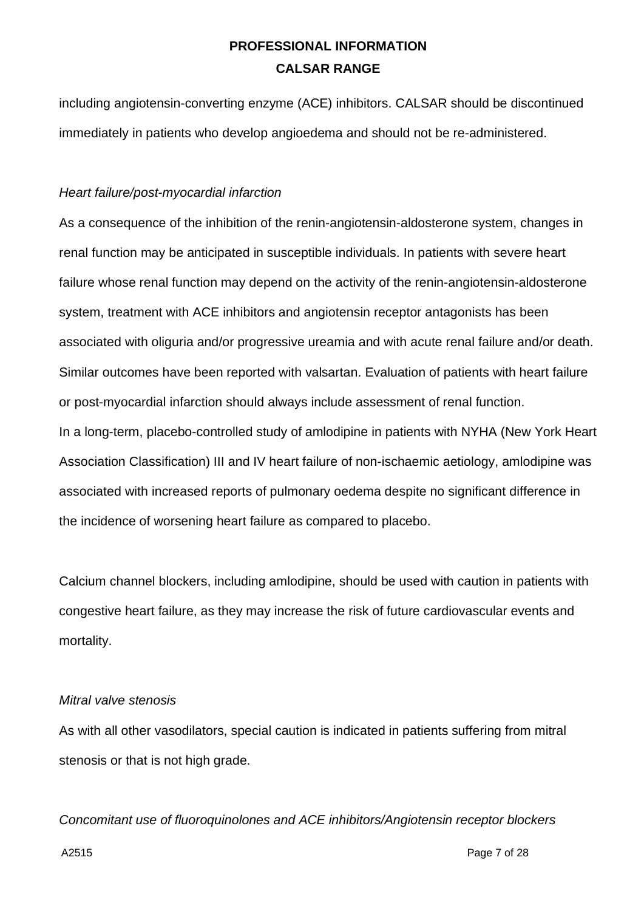including angiotensin-converting enzyme (ACE) inhibitors. CALSAR should be discontinued immediately in patients who develop angioedema and should not be re-administered.

### *Heart failure/post-myocardial infarction*

As a consequence of the inhibition of the renin-angiotensin-aldosterone system, changes in renal function may be anticipated in susceptible individuals. In patients with severe heart failure whose renal function may depend on the activity of the renin-angiotensin-aldosterone system, treatment with ACE inhibitors and angiotensin receptor antagonists has been associated with oliguria and/or progressive ureamia and with acute renal failure and/or death. Similar outcomes have been reported with valsartan. Evaluation of patients with heart failure or post-myocardial infarction should always include assessment of renal function. In a long-term, placebo-controlled study of amlodipine in patients with NYHA (New York Heart

Association Classification) III and IV heart failure of non-ischaemic aetiology, amlodipine was associated with increased reports of pulmonary oedema despite no significant difference in the incidence of worsening heart failure as compared to placebo.

Calcium channel blockers, including amlodipine, should be used with caution in patients with congestive heart failure, as they may increase the risk of future cardiovascular events and mortality.

#### *Mitral valve stenosis*

As with all other vasodilators, special caution is indicated in patients suffering from mitral stenosis or that is not high grade.

*Concomitant use of fluoroquinolones and ACE inhibitors/Angiotensin receptor blockers*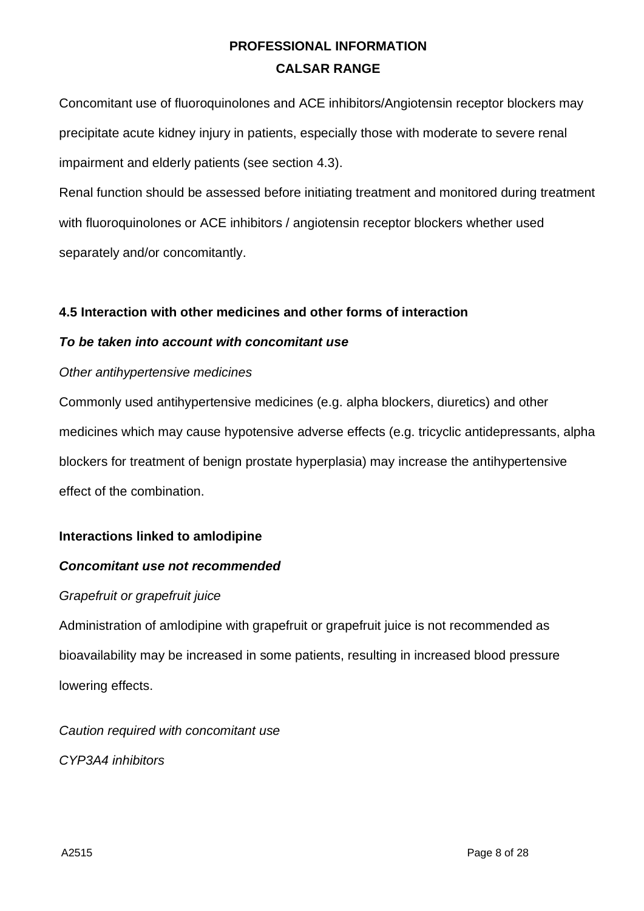Concomitant use of fluoroquinolones and ACE inhibitors/Angiotensin receptor blockers may precipitate acute kidney injury in patients, especially those with moderate to severe renal impairment and elderly patients (see section 4.3).

Renal function should be assessed before initiating treatment and monitored during treatment with fluoroquinolones or ACE inhibitors / angiotensin receptor blockers whether used separately and/or concomitantly.

## **4.5 Interaction with other medicines and other forms of interaction**

## *To be taken into account with concomitant use*

### *Other antihypertensive medicines*

Commonly used antihypertensive medicines (e.g. alpha blockers, diuretics) and other medicines which may cause hypotensive adverse effects (e.g. tricyclic antidepressants, alpha blockers for treatment of benign prostate hyperplasia) may increase the antihypertensive effect of the combination.

## **Interactions linked to amlodipine**

## *Concomitant use not recommended*

## *Grapefruit or grapefruit juice*

Administration of amlodipine with grapefruit or grapefruit juice is not recommended as bioavailability may be increased in some patients, resulting in increased blood pressure lowering effects.

*Caution required with concomitant use CYP3A4 inhibitors*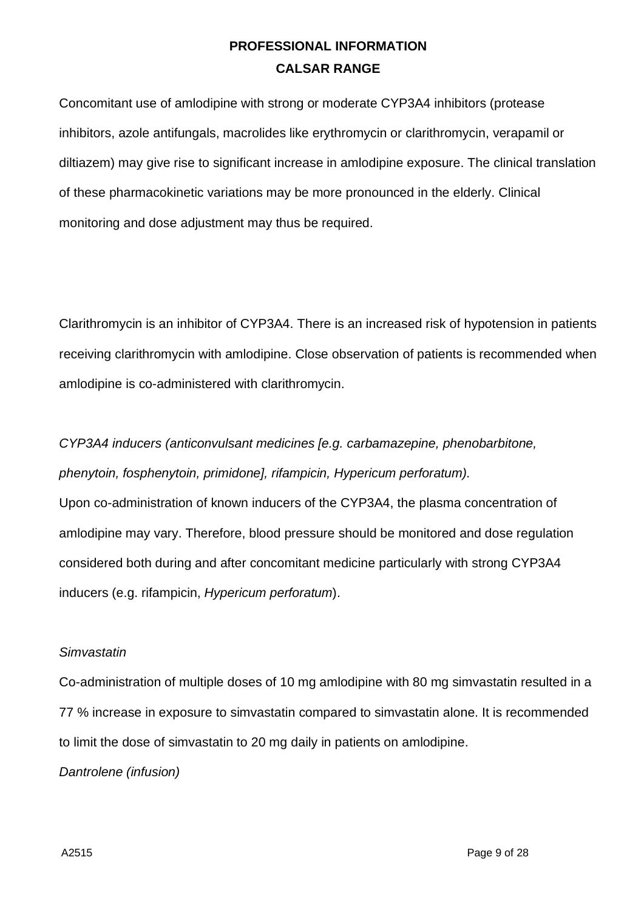Concomitant use of amlodipine with strong or moderate CYP3A4 inhibitors (protease inhibitors, azole antifungals, macrolides like erythromycin or clarithromycin, verapamil or diltiazem) may give rise to significant increase in amlodipine exposure. The clinical translation of these pharmacokinetic variations may be more pronounced in the elderly. Clinical monitoring and dose adjustment may thus be required.

Clarithromycin is an inhibitor of CYP3A4. There is an increased risk of hypotension in patients receiving clarithromycin with amlodipine. Close observation of patients is recommended when amlodipine is co-administered with clarithromycin.

*CYP3A4 inducers (anticonvulsant medicines [e.g. carbamazepine, phenobarbitone, phenytoin, fosphenytoin, primidone], rifampicin, Hypericum perforatum).*

Upon co-administration of known inducers of the CYP3A4, the plasma concentration of amlodipine may vary. Therefore, blood pressure should be monitored and dose regulation considered both during and after concomitant medicine particularly with strong CYP3A4 inducers (e.g. rifampicin, *Hypericum perforatum*).

### *Simvastatin*

Co-administration of multiple doses of 10 mg amlodipine with 80 mg simvastatin resulted in a 77 % increase in exposure to simvastatin compared to simvastatin alone. It is recommended to limit the dose of simvastatin to 20 mg daily in patients on amlodipine.

*Dantrolene (infusion)*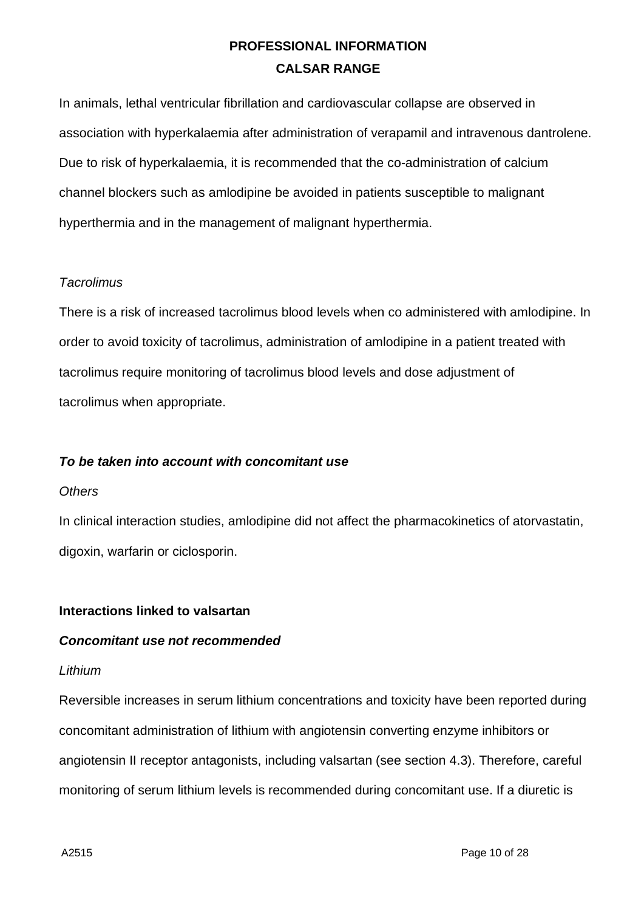In animals, lethal ventricular fibrillation and cardiovascular collapse are observed in association with hyperkalaemia after administration of verapamil and intravenous dantrolene. Due to risk of hyperkalaemia, it is recommended that the co-administration of calcium channel blockers such as amlodipine be avoided in patients susceptible to malignant hyperthermia and in the management of malignant hyperthermia.

## *Tacrolimus*

There is a risk of increased tacrolimus blood levels when co administered with amlodipine. In order to avoid toxicity of tacrolimus, administration of amlodipine in a patient treated with tacrolimus require monitoring of tacrolimus blood levels and dose adjustment of tacrolimus when appropriate.

## *To be taken into account with concomitant use*

### *Others*

In clinical interaction studies, amlodipine did not affect the pharmacokinetics of atorvastatin, digoxin, warfarin or ciclosporin.

## **Interactions linked to valsartan**

### *Concomitant use not recommended*

### *Lithium*

Reversible increases in serum lithium concentrations and toxicity have been reported during concomitant administration of lithium with angiotensin converting enzyme inhibitors or angiotensin II receptor antagonists, including valsartan (see section 4.3). Therefore, careful monitoring of serum lithium levels is recommended during concomitant use. If a diuretic is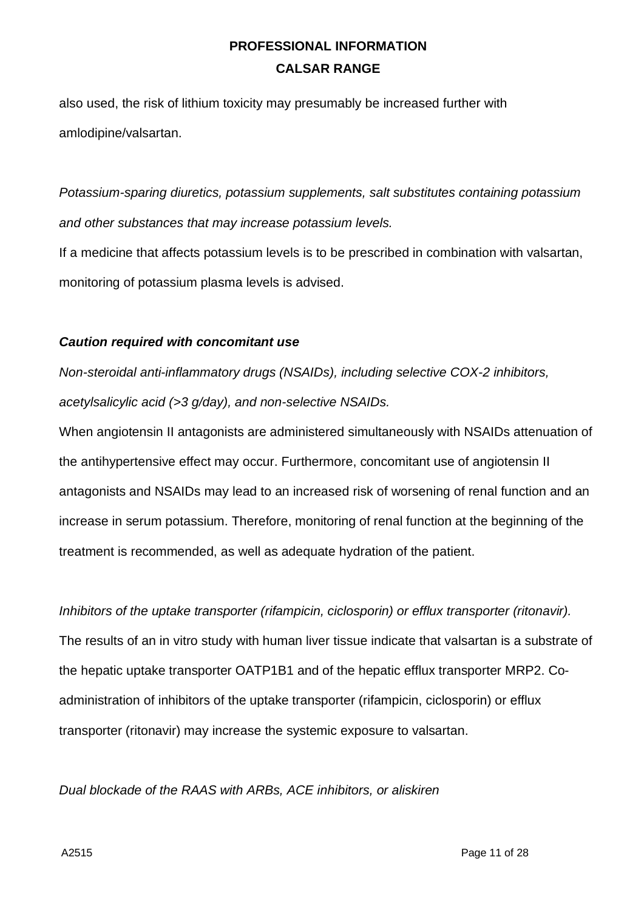also used, the risk of lithium toxicity may presumably be increased further with amlodipine/valsartan.

*Potassium-sparing diuretics, potassium supplements, salt substitutes containing potassium and other substances that may increase potassium levels.*

If a medicine that affects potassium levels is to be prescribed in combination with valsartan, monitoring of potassium plasma levels is advised.

### *Caution required with concomitant use*

*Non-steroidal anti-inflammatory drugs (NSAIDs), including selective COX-2 inhibitors, acetylsalicylic acid (>3 g/day), and non-selective NSAIDs.*

When angiotensin II antagonists are administered simultaneously with NSAIDs attenuation of the antihypertensive effect may occur. Furthermore, concomitant use of angiotensin II antagonists and NSAIDs may lead to an increased risk of worsening of renal function and an increase in serum potassium. Therefore, monitoring of renal function at the beginning of the treatment is recommended, as well as adequate hydration of the patient.

*Inhibitors of the uptake transporter (rifampicin, ciclosporin) or efflux transporter (ritonavir).*

The results of an in vitro study with human liver tissue indicate that valsartan is a substrate of the hepatic uptake transporter OATP1B1 and of the hepatic efflux transporter MRP2. Coadministration of inhibitors of the uptake transporter (rifampicin, ciclosporin) or efflux transporter (ritonavir) may increase the systemic exposure to valsartan.

*Dual blockade of the RAAS with ARBs, ACE inhibitors, or aliskiren*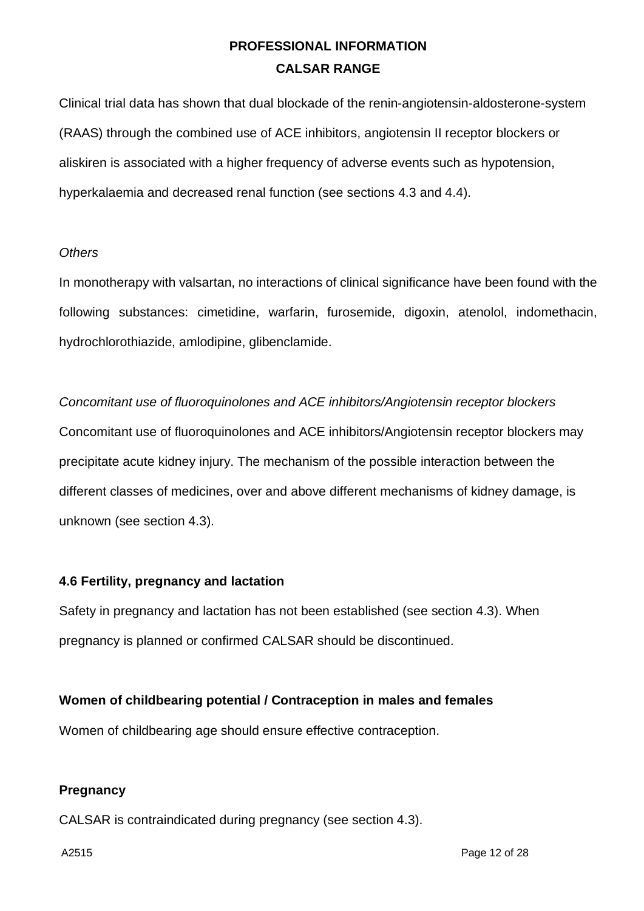Clinical trial data has shown that dual blockade of the renin-angiotensin-aldosterone-system (RAAS) through the combined use of ACE inhibitors, angiotensin II receptor blockers or aliskiren is associated with a higher frequency of adverse events such as hypotension, hyperkalaemia and decreased renal function (see sections 4.3 and 4.4).

### *Others*

In monotherapy with valsartan, no interactions of clinical significance have been found with the following substances: cimetidine, warfarin, furosemide, digoxin, atenolol, indomethacin, hydrochlorothiazide, amlodipine, glibenclamide.

*Concomitant use of fluoroquinolones and ACE inhibitors/Angiotensin receptor blockers* Concomitant use of fluoroquinolones and ACE inhibitors/Angiotensin receptor blockers may precipitate acute kidney injury. The mechanism of the possible interaction between the different classes of medicines, over and above different mechanisms of kidney damage, is unknown (see section 4.3).

## **4.6 Fertility, pregnancy and lactation**

Safety in pregnancy and lactation has not been established (see section 4.3). When pregnancy is planned or confirmed CALSAR should be discontinued.

## **Women of childbearing potential / Contraception in males and females**

Women of childbearing age should ensure effective contraception.

## **Pregnancy**

CALSAR is contraindicated during pregnancy (see section 4.3).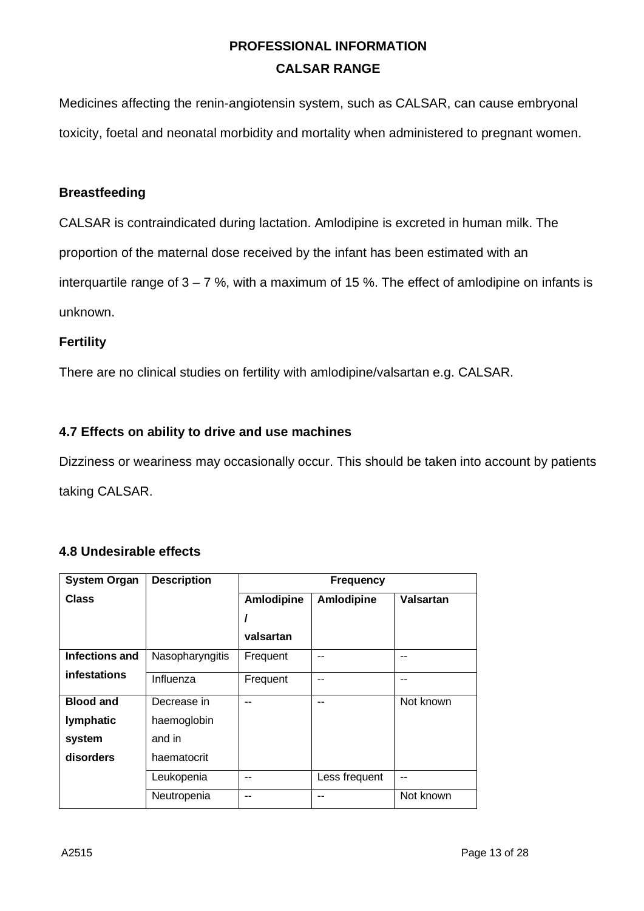Medicines affecting the renin-angiotensin system, such as CALSAR, can cause embryonal toxicity, foetal and neonatal morbidity and mortality when administered to pregnant women.

### **Breastfeeding**

CALSAR is contraindicated during lactation. Amlodipine is excreted in human milk. The

proportion of the maternal dose received by the infant has been estimated with an

interquartile range of  $3 - 7$  %, with a maximum of 15 %. The effect of amlodipine on infants is unknown.

## **Fertility**

There are no clinical studies on fertility with amlodipine/valsartan e.g. CALSAR.

## **4.7 Effects on ability to drive and use machines**

Dizziness or weariness may occasionally occur. This should be taken into account by patients taking CALSAR.

#### **System Organ Class Description Frequency Amlodipine / valsartan Amlodipine Valsartan Infections and infestations** Nasopharyngitis Frequent |--Influenza | Frequent | -- | --**Blood and lymphatic system disorders** Decrease in haemoglobin and in haematocrit -- -- -- | Not known Leukopenia -- Less frequent --Neutropenia -- - - - Not known

## **4.8 Undesirable effects**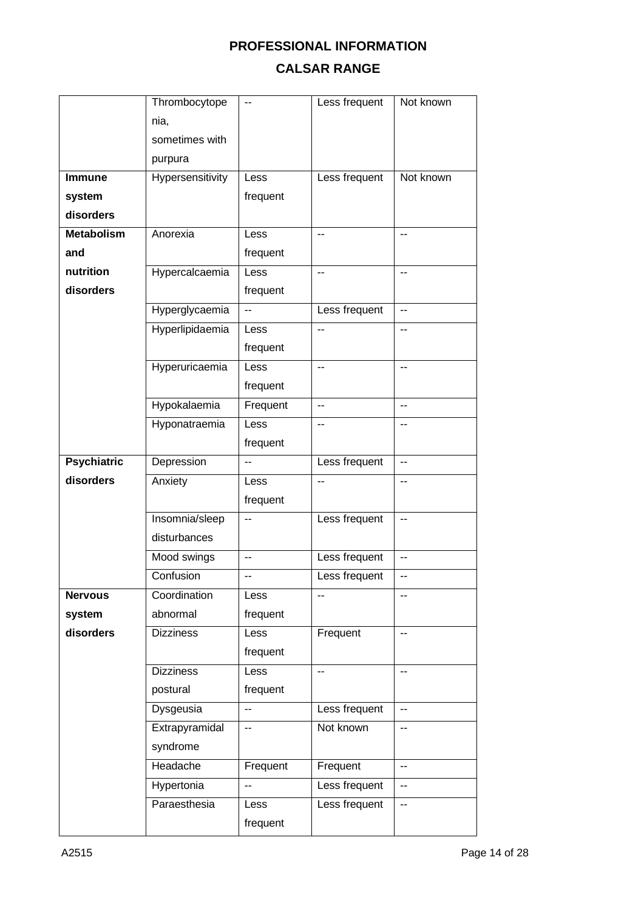|                    | Thrombocytope    | --             | Less frequent            | Not known |
|--------------------|------------------|----------------|--------------------------|-----------|
|                    | nia,             |                |                          |           |
|                    | sometimes with   |                |                          |           |
|                    | purpura          |                |                          |           |
| <b>Immune</b>      | Hypersensitivity | Less           | Less frequent            | Not known |
| system             |                  | frequent       |                          |           |
| disorders          |                  |                |                          |           |
| <b>Metabolism</b>  | Anorexia         | Less           | $\overline{\phantom{a}}$ | --        |
| and                |                  | frequent       |                          |           |
| nutrition          | Hypercalcaemia   | Less           | $\overline{\phantom{a}}$ | --        |
| disorders          |                  | frequent       |                          |           |
|                    | Hyperglycaemia   | $\overline{a}$ | Less frequent            | --        |
|                    | Hyperlipidaemia  | Less           |                          | --        |
|                    |                  | frequent       |                          |           |
|                    | Hyperuricaemia   | Less           | --                       | --        |
|                    |                  | frequent       |                          |           |
|                    | Hypokalaemia     | Frequent       | 44                       | Ш,        |
|                    | Hyponatraemia    | Less           | $-$                      | --        |
|                    |                  | frequent       |                          |           |
| <b>Psychiatric</b> | Depression       | 44             | Less frequent            | --        |
| disorders          | Anxiety          | Less           | --                       | --        |
|                    |                  | frequent       |                          |           |
|                    | Insomnia/sleep   | --             | Less frequent            | --        |
|                    | disturbances     |                |                          |           |
|                    | Mood swings      | $\overline{a}$ | Less frequent            | -−        |
|                    | Confusion        | --             | Less frequent            | ۰.        |
| <b>Nervous</b>     | Coordination     | Less           | --                       | --        |
| system             | abnormal         | frequent       |                          |           |
| disorders          | <b>Dizziness</b> | Less           | Frequent                 | --        |
|                    |                  | frequent       |                          |           |
|                    | <b>Dizziness</b> | Less           | $\overline{a}$           |           |
|                    | postural         | frequent       |                          |           |
|                    | Dysgeusia        | $\overline{a}$ | Less frequent            | --        |
|                    | Extrapyramidal   | 44             | Not known                | --        |
|                    | syndrome         |                |                          |           |
|                    | Headache         | Frequent       | Frequent                 | --        |
|                    | Hypertonia       | --             | Less frequent            | --        |
|                    | Paraesthesia     | Less           | Less frequent            | --        |
|                    |                  | frequent       |                          |           |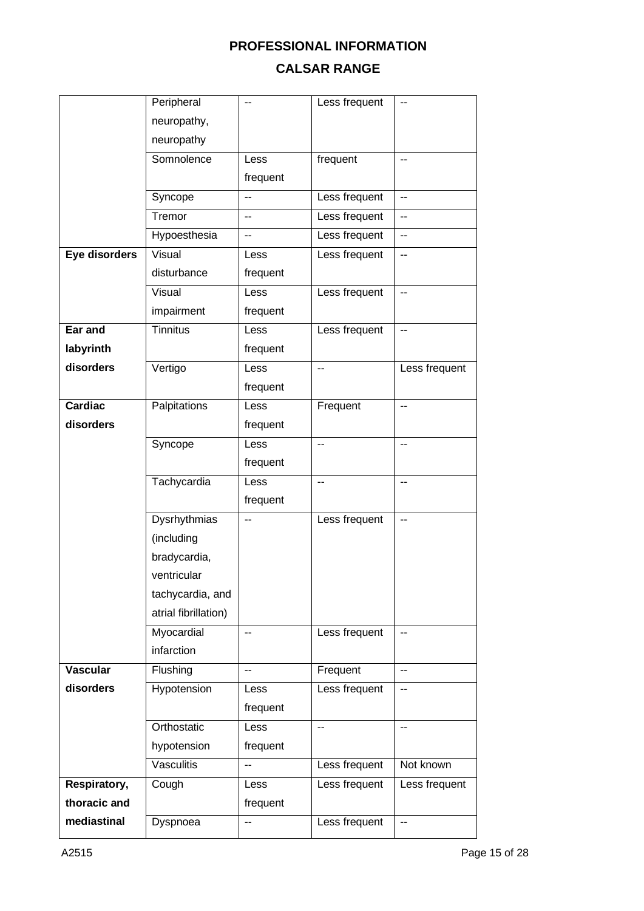|                 | Peripheral           | --             | Less frequent  | --                       |
|-----------------|----------------------|----------------|----------------|--------------------------|
|                 | neuropathy,          |                |                |                          |
|                 | neuropathy           |                |                |                          |
|                 | Somnolence           | Less           | frequent       | $-$                      |
|                 |                      | frequent       |                |                          |
|                 | Syncope              | Ш,             | Less frequent  | 44                       |
|                 | Tremor               | $\overline{a}$ | Less frequent  | $\overline{a}$           |
|                 | Hypoesthesia         | $\overline{a}$ | Less frequent  | --                       |
| Eye disorders   | Visual               | Less           | Less frequent  | --                       |
|                 | disturbance          | frequent       |                |                          |
|                 | Visual               | Less           | Less frequent  | н.                       |
|                 | impairment           | frequent       |                |                          |
| Ear and         | Tinnitus             | Less           | Less frequent  | -−                       |
| labyrinth       |                      | frequent       |                |                          |
| disorders       | Vertigo              | Less           | $-$            | Less frequent            |
|                 |                      | frequent       |                |                          |
| <b>Cardiac</b>  | <b>Palpitations</b>  | Less           | Frequent       | $\overline{a}$           |
| disorders       |                      | frequent       |                |                          |
|                 | Syncope              | Less           | ۵.             | Ш,                       |
|                 |                      | frequent       |                |                          |
|                 | Tachycardia          | Less           | н.             | --                       |
|                 |                      | frequent       |                |                          |
|                 | Dysrhythmias         | --             | Less frequent  | $\overline{\phantom{a}}$ |
|                 | (including           |                |                |                          |
|                 | bradycardia,         |                |                |                          |
|                 | ventricular          |                |                |                          |
|                 | tachycardia, and     |                |                |                          |
|                 | atrial fibrillation) |                |                |                          |
|                 | Myocardial           | $\overline{a}$ | Less frequent  | $\overline{a}$           |
|                 | infarction           |                |                |                          |
| <b>Vascular</b> | Flushing             | $\overline{a}$ | Frequent       | $\overline{a}$           |
| disorders       | Hypotension          | Less           | Less frequent  | н.                       |
|                 |                      | frequent       |                |                          |
|                 | Orthostatic          | Less           | $\overline{a}$ | н.                       |
|                 | hypotension          | frequent       |                |                          |
|                 | <b>Vasculitis</b>    | $\overline{a}$ | Less frequent  | Not known                |
| Respiratory,    | Cough                | Less           | Less frequent  | Less frequent            |
| thoracic and    |                      | frequent       |                |                          |
| mediastinal     | Dyspnoea             | --             | Less frequent  | --                       |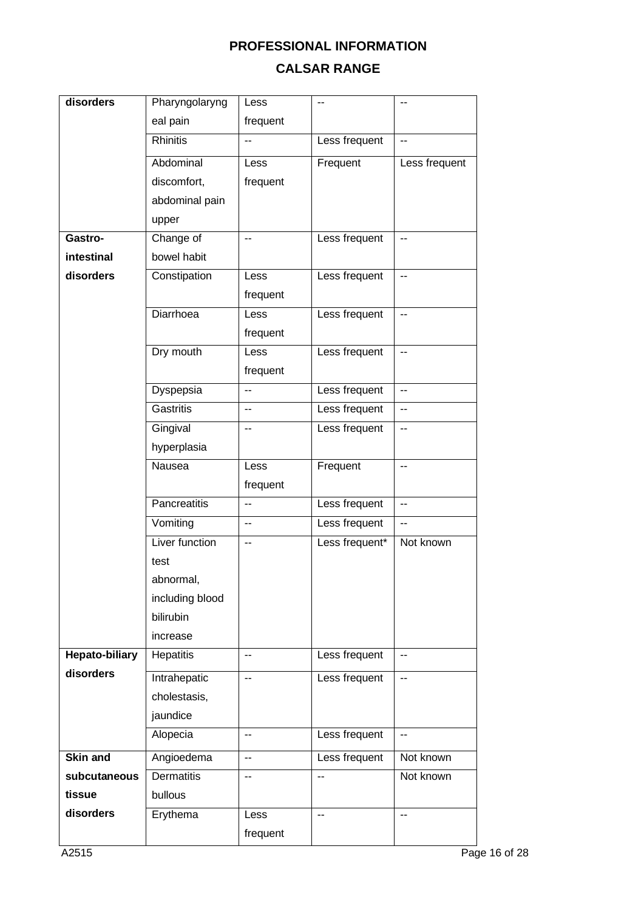| disorders             | Pharyngolaryng    | Less           |                |                          |  |
|-----------------------|-------------------|----------------|----------------|--------------------------|--|
|                       | eal pain          | frequent       |                |                          |  |
|                       | <b>Rhinitis</b>   | $\overline{a}$ | Less frequent  | $\mathbf{u}$             |  |
|                       | Abdominal         | Less           | Frequent       | Less frequent            |  |
|                       | discomfort,       | frequent       |                |                          |  |
|                       | abdominal pain    |                |                |                          |  |
|                       | upper             |                |                |                          |  |
| Gastro-               | Change of         | $\overline{a}$ | Less frequent  | $\overline{a}$           |  |
| intestinal            | bowel habit       |                |                |                          |  |
| disorders             | Constipation      | Less           | Less frequent  | $\mathbf{u}$             |  |
|                       |                   | frequent       |                |                          |  |
|                       | Diarrhoea         | Less           | Less frequent  | $\overline{\phantom{a}}$ |  |
|                       |                   | frequent       |                |                          |  |
|                       | Dry mouth         | Less           | Less frequent  | $\overline{\phantom{a}}$ |  |
|                       |                   | frequent       |                |                          |  |
|                       | Dyspepsia         | $\overline{a}$ | Less frequent  | $\overline{\phantom{a}}$ |  |
|                       | Gastritis         | $\overline{a}$ | Less frequent  | $\sim$                   |  |
|                       | Gingival          | $-$            | Less frequent  | $\overline{\phantom{a}}$ |  |
|                       | hyperplasia       |                |                |                          |  |
|                       | Nausea            | Less           | Frequent       | $\overline{a}$           |  |
|                       |                   | frequent       |                |                          |  |
|                       | Pancreatitis      | ÷÷             | Less frequent  | $\mathbf{u}$             |  |
|                       | Vomiting          | $\overline{a}$ | Less frequent  | $\overline{a}$           |  |
|                       | Liver function    | н.             | Less frequent* | Not known                |  |
|                       | test              |                |                |                          |  |
|                       | abnormal,         |                |                |                          |  |
|                       | including blood   |                |                |                          |  |
|                       | bilirubin         |                |                |                          |  |
|                       | increase          |                |                |                          |  |
| <b>Hepato-biliary</b> | Hepatitis         | --             | Less frequent  |                          |  |
| disorders             | Intrahepatic      | н.             | Less frequent  | $\overline{\phantom{a}}$ |  |
|                       | cholestasis,      |                |                |                          |  |
|                       | jaundice          |                |                |                          |  |
|                       | Alopecia          | $\overline{a}$ | Less frequent  | $\overline{a}$           |  |
| <b>Skin and</b>       | Angioedema        | $\overline{a}$ | Less frequent  | Not known                |  |
| subcutaneous          | <b>Dermatitis</b> | --             | н.             | Not known                |  |
| tissue                | bullous           |                |                |                          |  |
| disorders             | Erythema          | Less           | н.             | $\sim$                   |  |
|                       |                   | frequent       |                |                          |  |
| A2515                 |                   |                |                | Page 16 of 28            |  |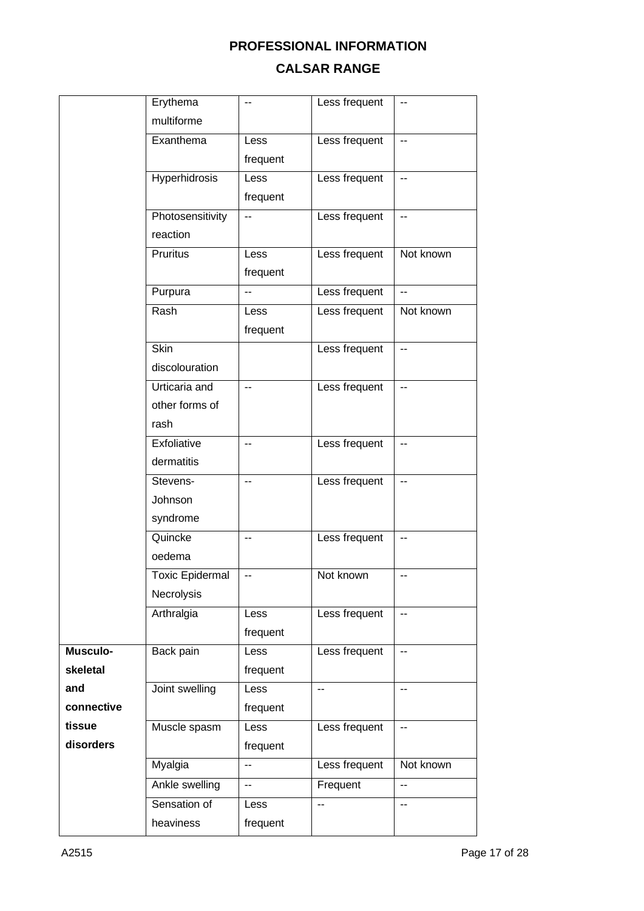|                 | Erythema               | --             | Less frequent  | --             |
|-----------------|------------------------|----------------|----------------|----------------|
|                 | multiforme             |                |                |                |
|                 | Exanthema              | Less           | Less frequent  | -−             |
|                 |                        | frequent       |                |                |
|                 | Hyperhidrosis          | Less           | Less frequent  | 44             |
|                 |                        | frequent       |                |                |
|                 | Photosensitivity       | $\overline{a}$ | Less frequent  | $\sim$         |
|                 | reaction               |                |                |                |
|                 | Pruritus               | Less           | Less frequent  | Not known      |
|                 |                        | frequent       |                |                |
|                 | Purpura                | $\overline{a}$ | Less frequent  | Ξ.             |
|                 | Rash                   | Less           | Less frequent  | Not known      |
|                 |                        | frequent       |                |                |
|                 | <b>Skin</b>            |                | Less frequent  |                |
|                 | discolouration         |                |                |                |
|                 | Urticaria and          | 44             | Less frequent  | $\overline{a}$ |
|                 | other forms of         |                |                |                |
|                 | rash                   |                |                |                |
|                 | Exfoliative            | ۵.             | Less frequent  | --             |
|                 | dermatitis             |                |                |                |
|                 | Stevens-               | $\overline{a}$ | Less frequent  | --             |
|                 | Johnson                |                |                |                |
|                 | syndrome               |                |                |                |
|                 | Quincke                | ۵.             | Less frequent  | $-$            |
|                 | oedema                 |                |                |                |
|                 | <b>Toxic Epidermal</b> | $-$            | Not known      |                |
|                 | Necrolysis             |                |                |                |
|                 | Arthralgia             | Less           | Less frequent  | $\overline{a}$ |
|                 |                        | frequent       |                |                |
| <b>Musculo-</b> | Back pain              | Less           | Less frequent  | $\overline{a}$ |
| skeletal        |                        | frequent       |                |                |
| and             | Joint swelling         | Less           | --             | --             |
| connective      |                        | frequent       |                |                |
| tissue          | Muscle spasm           | Less           | Less frequent  | $\overline{a}$ |
| disorders       |                        | frequent       |                |                |
|                 | Myalgia                | $\overline{a}$ | Less frequent  | Not known      |
|                 | Ankle swelling         | --             | Frequent       | --             |
|                 | Sensation of           | Less           | $\overline{a}$ | $\overline{a}$ |
|                 | heaviness              | frequent       |                |                |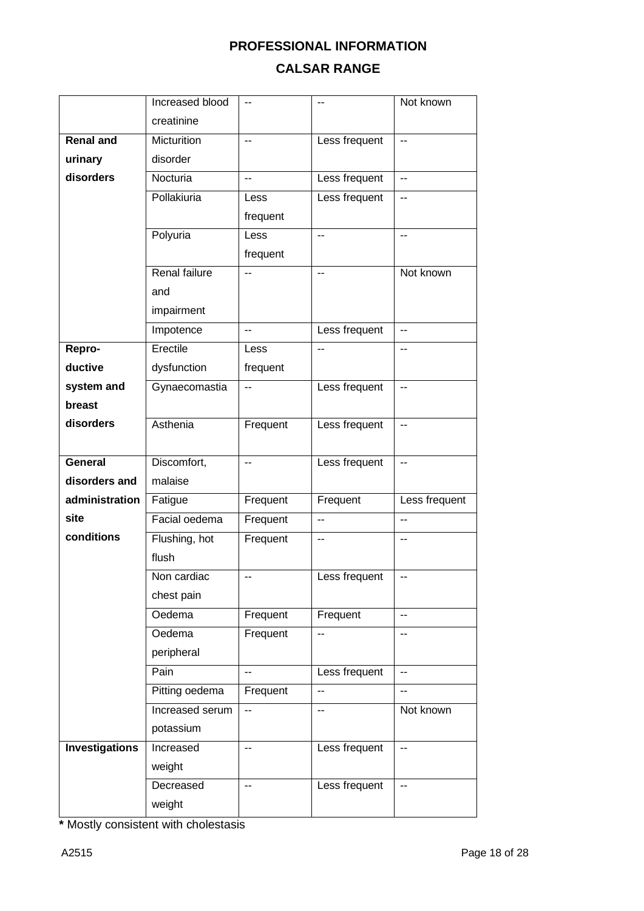## **CALSAR RANGE**

|                       | Increased blood |                |                          | Not known      |
|-----------------------|-----------------|----------------|--------------------------|----------------|
|                       | creatinine      |                |                          |                |
| <b>Renal and</b>      | Micturition     | $\sim$         | Less frequent            | ÷.             |
| urinary               | disorder        |                |                          |                |
| disorders             | Nocturia        | $\overline{a}$ | Less frequent            | $\overline{a}$ |
|                       | Pollakiuria     | Less           | Less frequent            | $\overline{a}$ |
|                       |                 | frequent       |                          |                |
|                       | Polyuria        | Less           | $\overline{a}$           | $\overline{a}$ |
|                       |                 | frequent       |                          |                |
|                       | Renal failure   | $-$            | $\overline{a}$           | Not known      |
|                       | and             |                |                          |                |
|                       | impairment      |                |                          |                |
|                       | Impotence       |                | Less frequent            |                |
| Repro-                | Erectile        | Less           |                          |                |
| ductive               | dysfunction     | frequent       |                          |                |
| system and            | Gynaecomastia   | $-$            | Less frequent            | Ξ.             |
| breast                |                 |                |                          |                |
| disorders             | Asthenia        | Frequent       | Less frequent            | н.             |
|                       |                 |                |                          |                |
| <b>General</b>        | Discomfort,     | $\overline{a}$ | Less frequent            | $\overline{a}$ |
| disorders and         | malaise         |                |                          |                |
| administration        | Fatigue         | Frequent       | Frequent                 | Less frequent  |
| site                  | Facial oedema   | Frequent       | $-$                      | $\overline{a}$ |
| conditions            | Flushing, hot   | Frequent       | --                       | --             |
|                       | flush           |                |                          |                |
|                       | Non cardiac     |                | Less frequent            | --             |
|                       | chest pain      |                |                          |                |
|                       | Oedema          | Frequent       | Frequent                 | $\overline{a}$ |
|                       | Oedema          | Frequent       | $\overline{\phantom{a}}$ | --             |
|                       | peripheral      |                |                          |                |
|                       | Pain            | $\overline{a}$ | Less frequent            | $\overline{a}$ |
|                       | Pitting oedema  | Frequent       | $\overline{a}$           | $\overline{a}$ |
|                       | Increased serum | $\overline{a}$ | н.                       | Not known      |
|                       | potassium       |                |                          |                |
| <b>Investigations</b> | Increased       | $\overline{a}$ | Less frequent            | $\overline{a}$ |
|                       | weight          |                |                          |                |
|                       | Decreased       | $\overline{a}$ | Less frequent            | $\mathbf{u}$   |
|                       | weight          |                |                          |                |

**\*** Mostly consistent with cholestasis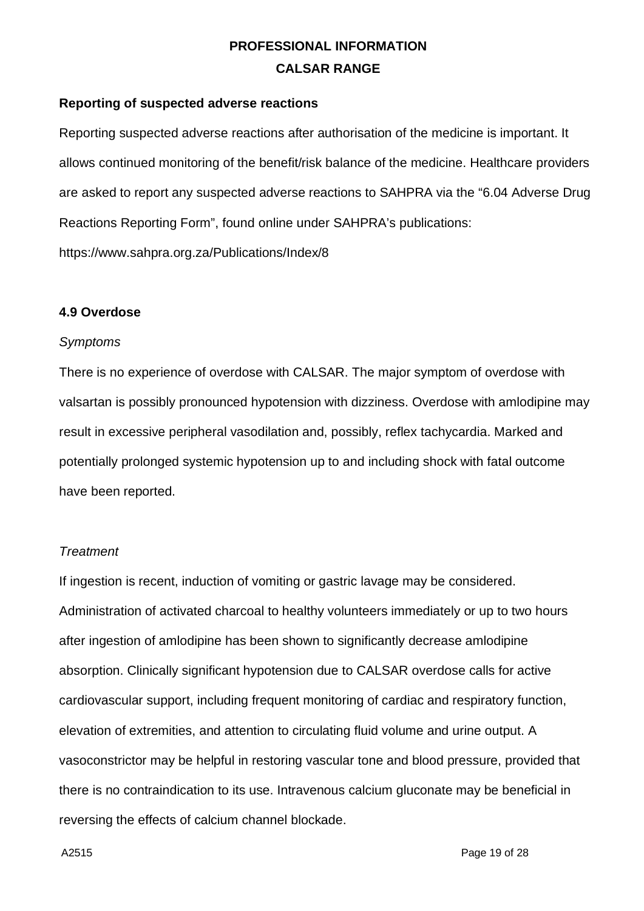### **Reporting of suspected adverse reactions**

Reporting suspected adverse reactions after authorisation of the medicine is important. It allows continued monitoring of the benefit/risk balance of the medicine. Healthcare providers are asked to report any suspected adverse reactions to SAHPRA via the "6.04 Adverse Drug Reactions Reporting Form", found online under SAHPRA's publications: https://www.sahpra.org.za/Publications/Index/8

### **4.9 Overdose**

#### *Symptoms*

There is no experience of overdose with CALSAR. The major symptom of overdose with valsartan is possibly pronounced hypotension with dizziness. Overdose with amlodipine may result in excessive peripheral vasodilation and, possibly, reflex tachycardia. Marked and potentially prolonged systemic hypotension up to and including shock with fatal outcome have been reported.

#### *Treatment*

If ingestion is recent, induction of vomiting or gastric lavage may be considered. Administration of activated charcoal to healthy volunteers immediately or up to two hours after ingestion of amlodipine has been shown to significantly decrease amlodipine absorption. Clinically significant hypotension due to CALSAR overdose calls for active cardiovascular support, including frequent monitoring of cardiac and respiratory function, elevation of extremities, and attention to circulating fluid volume and urine output. A vasoconstrictor may be helpful in restoring vascular tone and blood pressure, provided that there is no contraindication to its use. Intravenous calcium gluconate may be beneficial in reversing the effects of calcium channel blockade.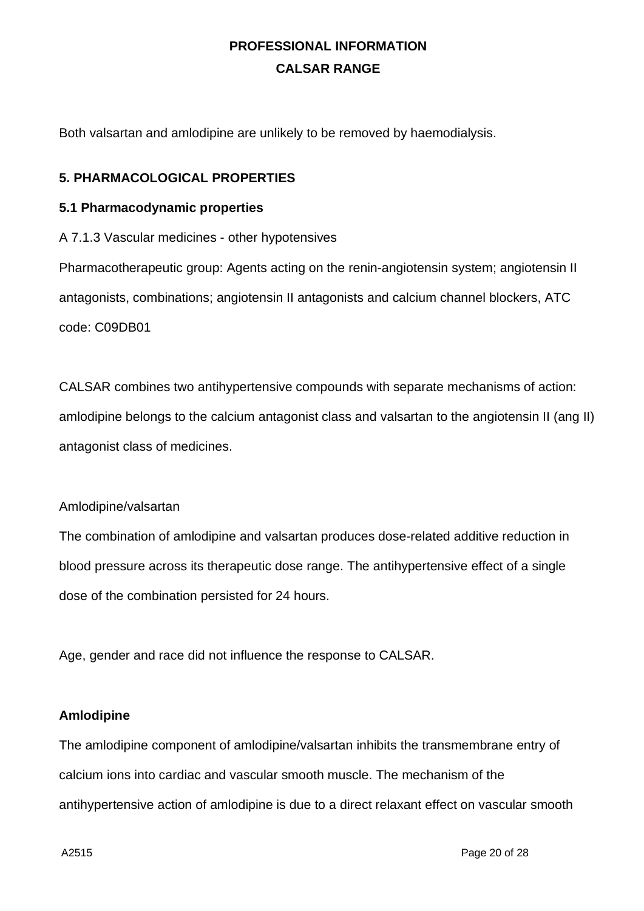Both valsartan and amlodipine are unlikely to be removed by haemodialysis.

## **5. PHARMACOLOGICAL PROPERTIES**

### **5.1 Pharmacodynamic properties**

A 7.1.3 Vascular medicines - other hypotensives

Pharmacotherapeutic group: Agents acting on the renin-angiotensin system; angiotensin II antagonists, combinations; angiotensin II antagonists and calcium channel blockers, ATC code: C09DB01

CALSAR combines two antihypertensive compounds with separate mechanisms of action: amlodipine belongs to the calcium antagonist class and valsartan to the angiotensin II (ang II) antagonist class of medicines.

### Amlodipine/valsartan

The combination of amlodipine and valsartan produces dose-related additive reduction in blood pressure across its therapeutic dose range. The antihypertensive effect of a single dose of the combination persisted for 24 hours.

Age, gender and race did not influence the response to CALSAR.

### **Amlodipine**

The amlodipine component of amlodipine/valsartan inhibits the transmembrane entry of calcium ions into cardiac and vascular smooth muscle. The mechanism of the antihypertensive action of amlodipine is due to a direct relaxant effect on vascular smooth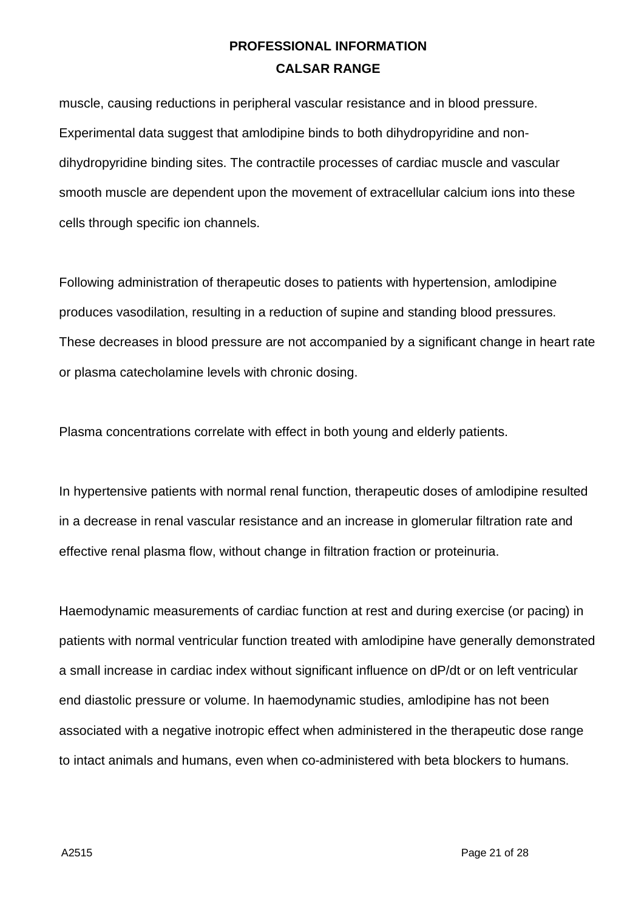muscle, causing reductions in peripheral vascular resistance and in blood pressure. Experimental data suggest that amlodipine binds to both dihydropyridine and nondihydropyridine binding sites. The contractile processes of cardiac muscle and vascular smooth muscle are dependent upon the movement of extracellular calcium ions into these cells through specific ion channels.

Following administration of therapeutic doses to patients with hypertension, amlodipine produces vasodilation, resulting in a reduction of supine and standing blood pressures. These decreases in blood pressure are not accompanied by a significant change in heart rate or plasma catecholamine levels with chronic dosing.

Plasma concentrations correlate with effect in both young and elderly patients.

In hypertensive patients with normal renal function, therapeutic doses of amlodipine resulted in a decrease in renal vascular resistance and an increase in glomerular filtration rate and effective renal plasma flow, without change in filtration fraction or proteinuria.

Haemodynamic measurements of cardiac function at rest and during exercise (or pacing) in patients with normal ventricular function treated with amlodipine have generally demonstrated a small increase in cardiac index without significant influence on dP/dt or on left ventricular end diastolic pressure or volume. In haemodynamic studies, amlodipine has not been associated with a negative inotropic effect when administered in the therapeutic dose range to intact animals and humans, even when co-administered with beta blockers to humans.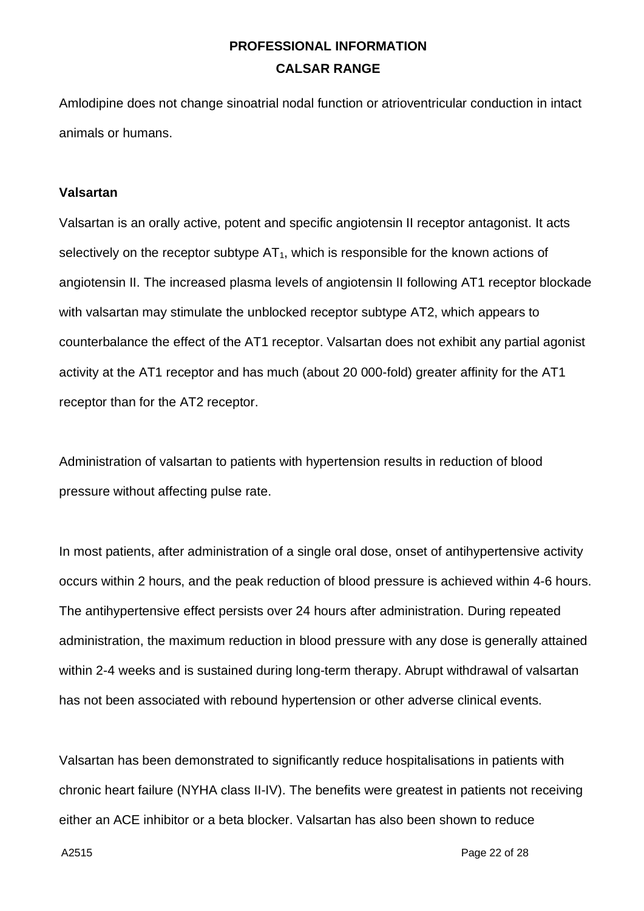Amlodipine does not change sinoatrial nodal function or atrioventricular conduction in intact animals or humans.

#### **Valsartan**

Valsartan is an orally active, potent and specific angiotensin II receptor antagonist. It acts selectively on the receptor subtype  $AT_1$ , which is responsible for the known actions of angiotensin II. The increased plasma levels of angiotensin II following AT1 receptor blockade with valsartan may stimulate the unblocked receptor subtype AT2, which appears to counterbalance the effect of the AT1 receptor. Valsartan does not exhibit any partial agonist activity at the AT1 receptor and has much (about 20 000-fold) greater affinity for the AT1 receptor than for the AT2 receptor.

Administration of valsartan to patients with hypertension results in reduction of blood pressure without affecting pulse rate.

In most patients, after administration of a single oral dose, onset of antihypertensive activity occurs within 2 hours, and the peak reduction of blood pressure is achieved within 4-6 hours. The antihypertensive effect persists over 24 hours after administration. During repeated administration, the maximum reduction in blood pressure with any dose is generally attained within 2-4 weeks and is sustained during long-term therapy. Abrupt withdrawal of valsartan has not been associated with rebound hypertension or other adverse clinical events.

Valsartan has been demonstrated to significantly reduce hospitalisations in patients with chronic heart failure (NYHA class II-IV). The benefits were greatest in patients not receiving either an ACE inhibitor or a beta blocker. Valsartan has also been shown to reduce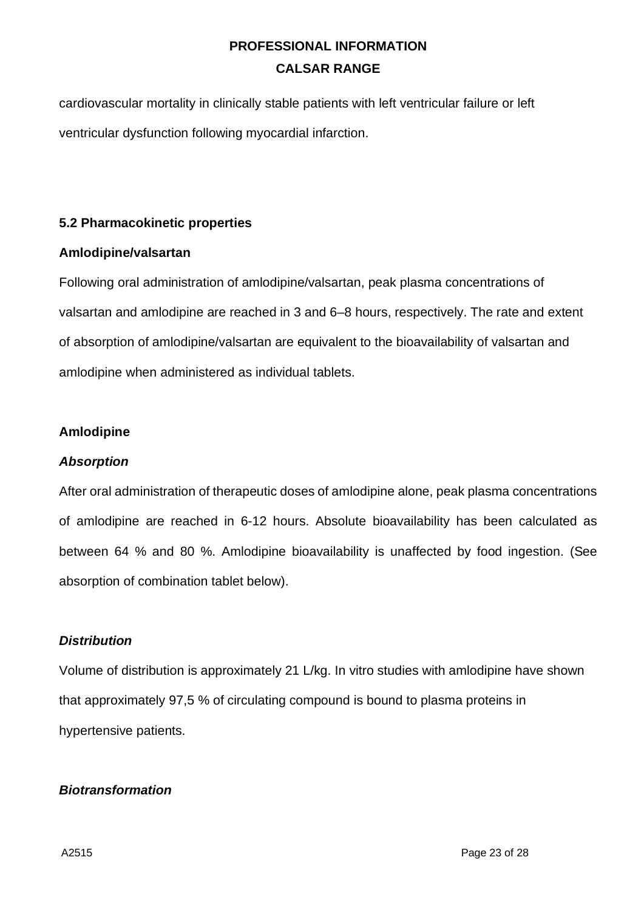cardiovascular mortality in clinically stable patients with left ventricular failure or left ventricular dysfunction following myocardial infarction.

## **5.2 Pharmacokinetic properties**

### **Amlodipine/valsartan**

Following oral administration of amlodipine/valsartan, peak plasma concentrations of valsartan and amlodipine are reached in 3 and 6–8 hours, respectively. The rate and extent of absorption of amlodipine/valsartan are equivalent to the bioavailability of valsartan and amlodipine when administered as individual tablets.

## **Amlodipine**

### *Absorption*

After oral administration of therapeutic doses of amlodipine alone, peak plasma concentrations of amlodipine are reached in 6-12 hours. Absolute bioavailability has been calculated as between 64 % and 80 %. Amlodipine bioavailability is unaffected by food ingestion. (See absorption of combination tablet below).

### *Distribution*

Volume of distribution is approximately 21 L/kg. In vitro studies with amlodipine have shown that approximately 97,5 % of circulating compound is bound to plasma proteins in hypertensive patients.

### *Biotransformation*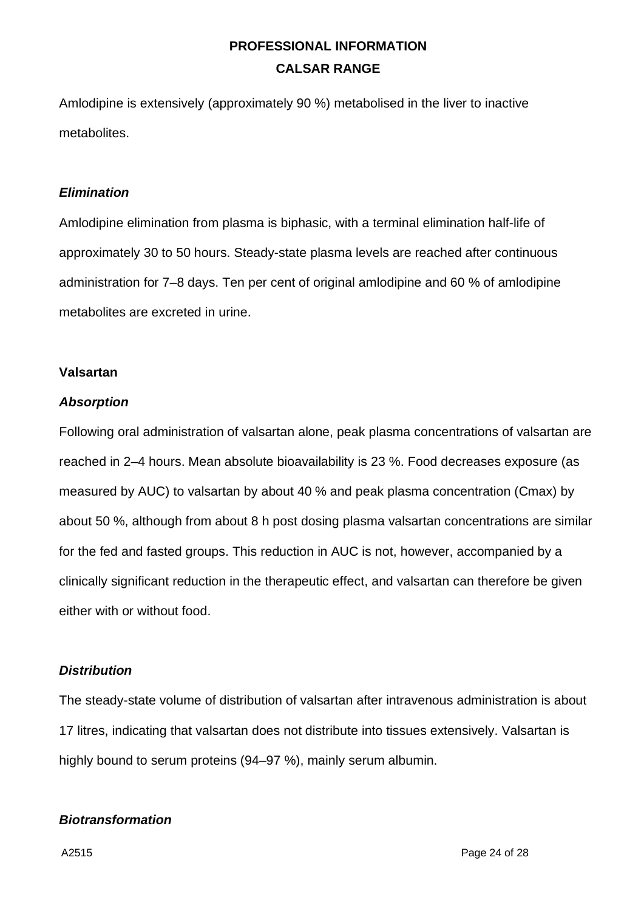Amlodipine is extensively (approximately 90 %) metabolised in the liver to inactive metabolites.

### *Elimination*

Amlodipine elimination from plasma is biphasic, with a terminal elimination half-life of approximately 30 to 50 hours. Steady-state plasma levels are reached after continuous administration for 7–8 days. Ten per cent of original amlodipine and 60 % of amlodipine metabolites are excreted in urine.

### **Valsartan**

### *Absorption*

Following oral administration of valsartan alone, peak plasma concentrations of valsartan are reached in 2–4 hours. Mean absolute bioavailability is 23 %. Food decreases exposure (as measured by AUC) to valsartan by about 40 % and peak plasma concentration (Cmax) by about 50 %, although from about 8 h post dosing plasma valsartan concentrations are similar for the fed and fasted groups. This reduction in AUC is not, however, accompanied by a clinically significant reduction in the therapeutic effect, and valsartan can therefore be given either with or without food.

### *Distribution*

The steady-state volume of distribution of valsartan after intravenous administration is about 17 litres, indicating that valsartan does not distribute into tissues extensively. Valsartan is highly bound to serum proteins (94–97 %), mainly serum albumin.

### *Biotransformation*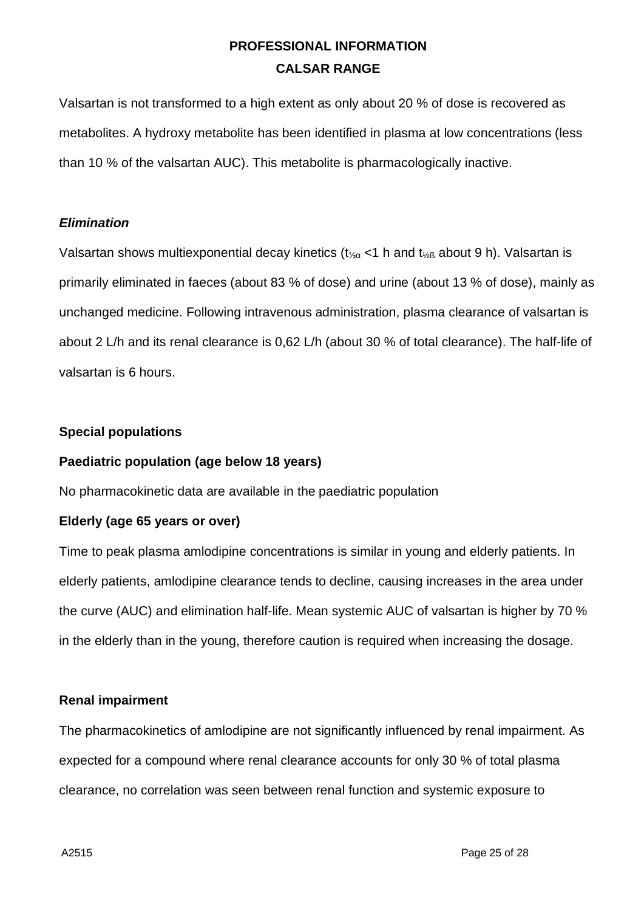Valsartan is not transformed to a high extent as only about 20 % of dose is recovered as metabolites. A hydroxy metabolite has been identified in plasma at low concentrations (less than 10 % of the valsartan AUC). This metabolite is pharmacologically inactive.

### *Elimination*

Valsartan shows multiexponential decay kinetics ( $t_{\text{Xa}}$  <1 h and  $t_{\text{Xb}}$  about 9 h). Valsartan is primarily eliminated in faeces (about 83 % of dose) and urine (about 13 % of dose), mainly as unchanged medicine. Following intravenous administration, plasma clearance of valsartan is about 2 L/h and its renal clearance is 0,62 L/h (about 30 % of total clearance). The half-life of valsartan is 6 hours.

### **Special populations**

### **Paediatric population (age below 18 years)**

No pharmacokinetic data are available in the paediatric population

### **Elderly (age 65 years or over)**

Time to peak plasma amlodipine concentrations is similar in young and elderly patients. In elderly patients, amlodipine clearance tends to decline, causing increases in the area under the curve (AUC) and elimination half-life. Mean systemic AUC of valsartan is higher by 70 % in the elderly than in the young, therefore caution is required when increasing the dosage.

#### **Renal impairment**

The pharmacokinetics of amlodipine are not significantly influenced by renal impairment. As expected for a compound where renal clearance accounts for only 30 % of total plasma clearance, no correlation was seen between renal function and systemic exposure to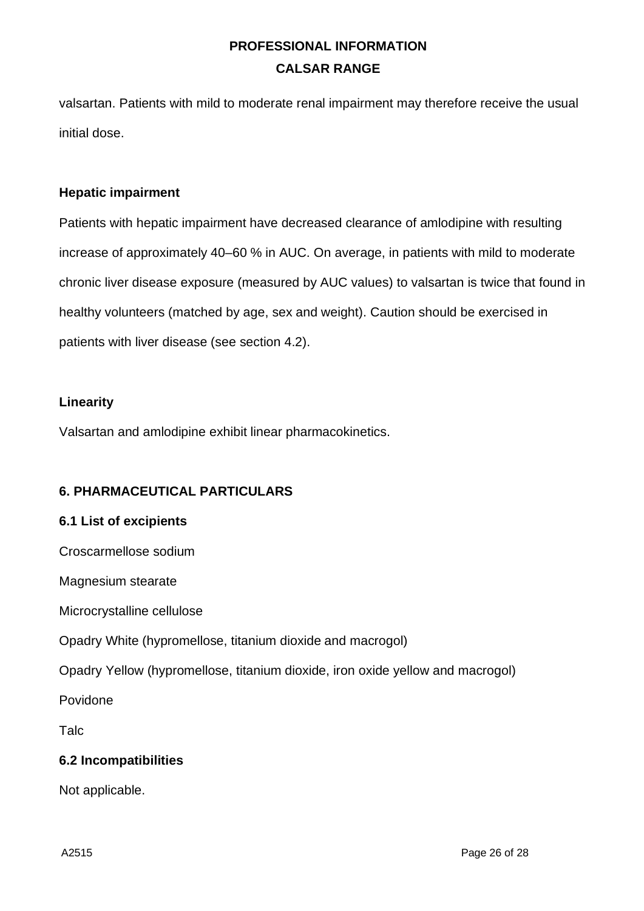valsartan. Patients with mild to moderate renal impairment may therefore receive the usual initial dose.

## **Hepatic impairment**

Patients with hepatic impairment have decreased clearance of amlodipine with resulting increase of approximately 40–60 % in AUC. On average, in patients with mild to moderate chronic liver disease exposure (measured by AUC values) to valsartan is twice that found in healthy volunteers (matched by age, sex and weight). Caution should be exercised in patients with liver disease (see section 4.2).

## **Linearity**

Valsartan and amlodipine exhibit linear pharmacokinetics.

## **6. PHARMACEUTICAL PARTICULARS**

### **6.1 List of excipients**

Croscarmellose sodium

Magnesium stearate

Microcrystalline cellulose

Opadry White (hypromellose, titanium dioxide and macrogol)

Opadry Yellow (hypromellose, titanium dioxide, iron oxide yellow and macrogol)

Povidone

Talc

## **6.2 Incompatibilities**

Not applicable.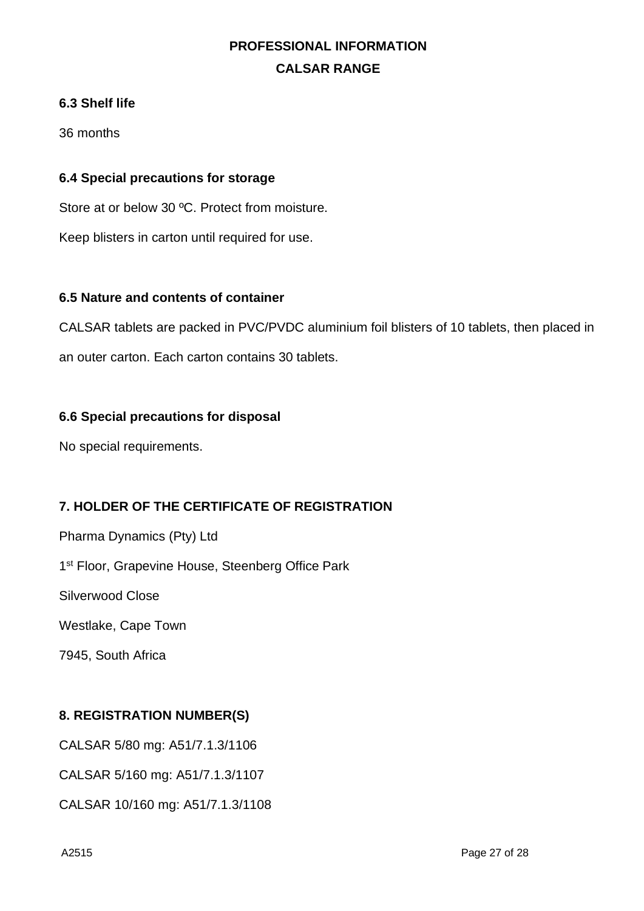## **6.3 Shelf life**

36 months

### **6.4 Special precautions for storage**

Store at or below 30 ºC. Protect from moisture.

Keep blisters in carton until required for use.

### **6.5 Nature and contents of container**

CALSAR tablets are packed in PVC/PVDC aluminium foil blisters of 10 tablets, then placed in an outer carton. Each carton contains 30 tablets.

## **6.6 Special precautions for disposal**

No special requirements.

## **7. HOLDER OF THE CERTIFICATE OF REGISTRATION**

Pharma Dynamics (Pty) Ltd

1<sup>st</sup> Floor, Grapevine House, Steenberg Office Park

Silverwood Close

Westlake, Cape Town

7945, South Africa

## **8. REGISTRATION NUMBER(S)**

CALSAR 5/80 mg: A51/7.1.3/1106

CALSAR 5/160 mg: A51/7.1.3/1107

CALSAR 10/160 mg: A51/7.1.3/1108